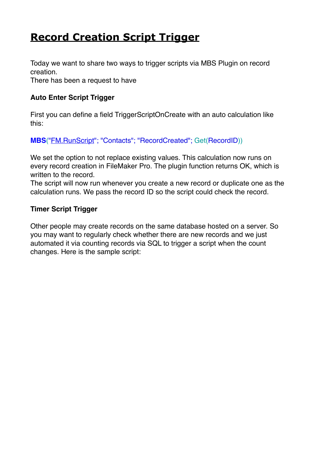# **[Record Creation Script Trigger](https://www.mbs-plugins.com/archive/2020-09-03/Record_Creation_Script_Trigger/monkeybreadsoftware_blog_filemaker)**

Today we want to share two ways to trigger scripts via MBS Plugin on record creation.

There has been a request to have

#### **Auto Enter Script Trigger**

First you can define a field TriggerScriptOnCreate with an auto calculation like this:

**MBS**(["FM.RunScript"](https://www.mbsplugins.eu/FMRunScript.shtml); "Contacts"; "RecordCreated"; Get(RecordID))

We set the option to not replace existing values. This calculation now runs on every record creation in FileMaker Pro. The plugin function returns OK, which is written to the record.

The script will now run whenever you create a new record or duplicate one as the calculation runs. We pass the record ID so the script could check the record.

#### **Timer Script Trigger**

Other people may create records on the same database hosted on a server. So you may want to regularly check whether there are new records and we just automated it via counting records via SQL to trigger a script when the count changes. Here is the sample script: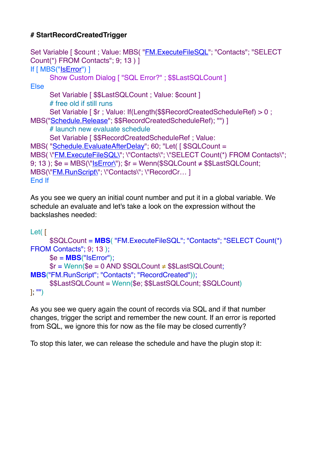## **# StartRecordCreatedTrigger**

```
FM.ExecuteFileSQL"; "Contacts"; "SELECT
Count(*) FROM Contacts"; 9; 13 ) ]
If [ MBS("IsError") ]
      Show Custom Dialog [ "SQL Error?" ; $$LastSQLCount ]
Else
      Set Variable [ $LastSQLCount ; Value: $count ]
      # free old if still runs
      Set Variable [ $r ; Value: If(Length($$RecordCreatedScheduleRef) > 0 ; 
MBS("Schedule.Release"; $$RecordCreatedScheduleRef); "") ]
      # launch new evaluate schedule
      Set Variable [ $$RecordCreatedScheduleRef ; Value: 
MBS( "Schedule.EvaluateAfterDelay"; 60; "Let( [ $SQLCount = 
MBS( \"FM.ExecuteFileSQL\"; \"Contacts\"; \"SELECT Count(*) FROM Contacts\"; 
9; 13 ); \mathcal{S}e = \mathsf{MBS}(\mathsf{NISError}(\mathsf{N})); \mathsf{Sr} = \mathsf{Wenn}(\mathsf{SSQLCount} \neq \mathsf{SSLastSQLCount});
"FM.RunScript\"; \"Contacts\"; \"RecordCr... ]
End If
```
As you see we query an initial count number and put it in a global variable. We schedule an evaluate and let's take a look on the expression without the backslashes needed:

```
Let( [
      $SQLCount = MBS( "FM.ExecuteFileSQL"; "Contacts"; "SELECT Count(*) 
FROM Contacts": 9: 13 ):
      $e = MBS("IsError");
       \text{Fr} = \text{Wenn}(\text{Se} = 0 \text{ AND } \text{SSQLCount} \neq \text{SSLastSQLCount};MBS("FM.RunScript"; "Contacts"; "RecordCreated"));
      $$LastSQLCount = Wenn($e; $$LastSQLCount; $SQLCount)
]; "")
```
As you see we query again the count of records via SQL and if that number changes, trigger the script and remember the new count. If an error is reported from SQL, we ignore this for now as the file may be closed currently?

To stop this later, we can release the schedule and have the plugin stop it: